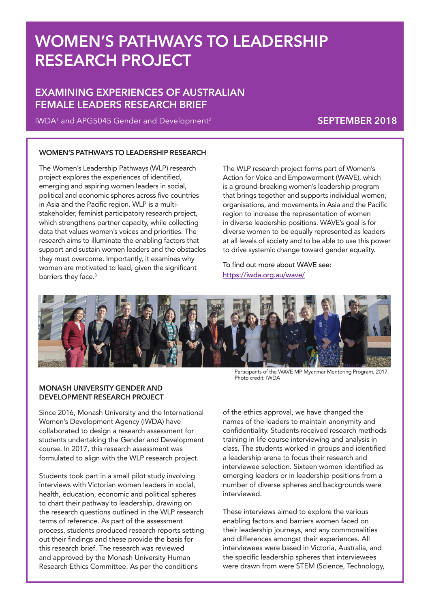# **WOMEN'S PATHWAYS TO LEADERSHIP RESEARCH PROJECT**

## **EXAMINING EXPERIENCES OF AUSTRALIAN FEMALE LEADERS RESEARCH BRIEF**

IWDA1 and APG5045 Gender and Development2 **SEPTEMBER 2018**

#### **WOMEN'S PATHWAYS TO LEADERSHIP RESEARCH**

The Women's Leadership Pathways (WLP) research project explores the experiences of identified, emerging and aspiring women leaders in social, political and economic spheres across five countries in Asia and the Pacific region. WLP is a multistakeholder, feminist participatory research project, which strengthens partner capacity, while collecting data that values women's voices and priorities. The research aims to illuminate the enabling factors that support and sustain women leaders and the obstacles they must overcome. Importantly, it examines why women are motivated to lead, given the significant barriers they face.<sup>3</sup>

The WLP research project forms part of Women's Action for Voice and Empowerment (WAVE), which is a ground-breaking women's leadership program that brings together and supports individual women, organisations, and movements in Asia and the Pacific region to increase the representation of women in diverse leadership positions. WAVE's goal is for diverse women to be equally represented as leaders at all levels of society and to be able to use this power to drive systemic change toward gender equality.

To find out more about WAVE see: https://iwda.org.au/wave/



#### **MONASH UNIVERSITY GENDER AND DEVELOPMENT RESEARCH PROJECT**

Since 2016, Monash University and the International Women's Development Agency (IWDA) have collaborated to design a research assessment for students undertaking the Gender and Development course. In 2017, this research assessment was formulated to align with the WLP research project.

Students took part in a small pilot study involving interviews with Victorian women leaders in social, health, education, economic and political spheres to chart their pathway to leadership, drawing on the research questions outlined in the WLP research terms of reference. As part of the assessment process, students produced research reports setting out their findings and these provide the basis for this research brief. The research was reviewed and approved by the Monash University Human Research Ethics Committee. As per the conditions

Participants of the WAVE MP Myanmar Mentoring Program, 2017. Photo credit: IWDA

of the ethics approval, we have changed the names of the leaders to maintain anonymity and confidentiality. Students received research methods training in life course interviewing and analysis in class. The students worked in groups and identified a leadership arena to focus their research and interviewee selection. Sixteen women identified as emerging leaders or in leadership positions from a number of diverse spheres and backgrounds were interviewed.

These interviews aimed to explore the various enabling factors and barriers women faced on their leadership journeys, and any commonalities and differences amongst their experiences. All interviewees were based in Victoria, Australia, and the specific leadership spheres that interviewees were drawn from were STEM (Science, Technology,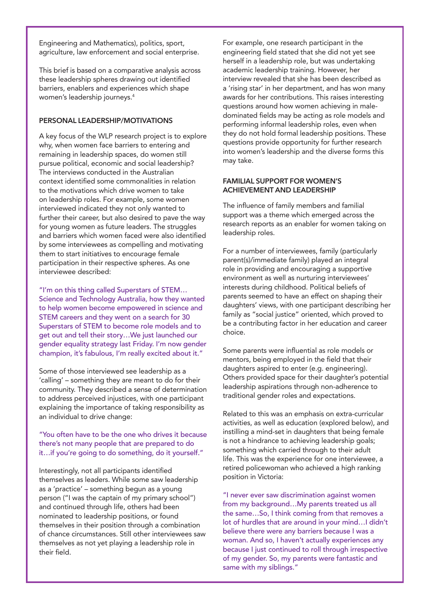Engineering and Mathematics), politics, sport, agriculture, law enforcement and social enterprise.

This brief is based on a comparative analysis across these leadership spheres drawing out identified barriers, enablers and experiences which shape women's leadership journeys.4

#### **PERSONAL LEADERSHIP/MOTIVATIONS**

A key focus of the WLP research project is to explore why, when women face barriers to entering and remaining in leadership spaces, do women still pursue political, economic and social leadership? The interviews conducted in the Australian context identified some commonalities in relation to the motivations which drive women to take on leadership roles. For example, some women interviewed indicated they not only wanted to further their career, but also desired to pave the way for young women as future leaders. The struggles and barriers which women faced were also identified by some interviewees as compelling and motivating them to start initiatives to encourage female participation in their respective spheres. As one interviewee described:

"I'm on this thing called Superstars of STEM… Science and Technology Australia, how they wanted to help women become empowered in science and STEM careers and they went on a search for 30 Superstars of STEM to become role models and to get out and tell their story…We just launched our gender equality strategy last Friday. I'm now gender champion, it's fabulous, I'm really excited about it."

Some of those interviewed see leadership as a 'calling' – something they are meant to do for their community. They described a sense of determination to address perceived injustices, with one participant explaining the importance of taking responsibility as an individual to drive change:

#### "You often have to be the one who drives it because there's not many people that are prepared to do it…if you're going to do something, do it yourself."

Interestingly, not all participants identified themselves as leaders. While some saw leadership as a 'practice' – something begun as a young person ("I was the captain of my primary school") and continued through life, others had been nominated to leadership positions, or found themselves in their position through a combination of chance circumstances. Still other interviewees saw themselves as not yet playing a leadership role in their field.

For example, one research participant in the engineering field stated that she did not yet see herself in a leadership role, but was undertaking academic leadership training. However, her interview revealed that she has been described as a 'rising star' in her department, and has won many awards for her contributions. This raises interesting questions around how women achieving in maledominated fields may be acting as role models and performing informal leadership roles, even when they do not hold formal leadership positions. These questions provide opportunity for further research into women's leadership and the diverse forms this may take.

#### **FAMILIAL SUPPORT FOR WOMEN'S ACHIEVEMENT AND LEADERSHIP**

The influence of family members and familial support was a theme which emerged across the research reports as an enabler for women taking on leadership roles.

For a number of interviewees, family (particularly parent(s)/immediate family) played an integral role in providing and encouraging a supportive environment as well as nurturing interviewees' interests during childhood. Political beliefs of parents seemed to have an effect on shaping their daughters' views, with one participant describing her family as "social justice" oriented, which proved to be a contributing factor in her education and career choice.

Some parents were influential as role models or mentors, being employed in the field that their daughters aspired to enter (e.g. engineering). Others provided space for their daughter's potential leadership aspirations through non-adherence to traditional gender roles and expectations.

Related to this was an emphasis on extra-curricular activities, as well as education (explored below), and instilling a mind-set in daughters that being female is not a hindrance to achieving leadership goals; something which carried through to their adult life. This was the experience for one interviewee, a retired policewoman who achieved a high ranking position in Victoria:

"I never ever saw discrimination against women from my background…My parents treated us all the same…So, I think coming from that removes a lot of hurdles that are around in your mind…I didn't believe there were any barriers because I was a woman. And so, I haven't actually experiences any because I just continued to roll through irrespective of my gender. So, my parents were fantastic and same with my siblings."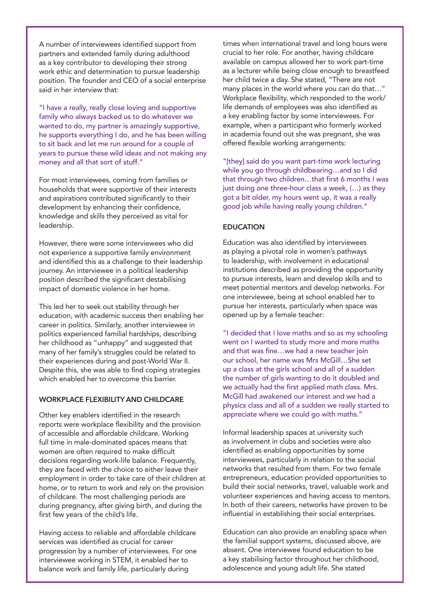A number of interviewees identified support from partners and extended family during adulthood as a key contributor to developing their strong work ethic and determination to pursue leadership position. The founder and CEO of a social enterprise said in her interview that:

"I have a really, really close loving and supportive family who always backed us to do whatever we wanted to do, my partner is amazingly supportive, he supports everything I do, and he has been willing to sit back and let me run around for a couple of years to pursue these wild ideas and not making any money and all that sort of stuff."

For most interviewees, coming from families or households that were supportive of their interests and aspirations contributed significantly to their development by enhancing their confidence, knowledge and skills they perceived as vital for leadership.

However, there were some interviewees who did not experience a supportive family environment and identified this as a challenge to their leadership journey. An interviewee in a political leadership position described the significant destabilising impact of domestic violence in her home.

This led her to seek out stability through her education, with academic success then enabling her career in politics. Similarly, another interviewee in politics experienced familial hardships, describing her childhood as "unhappy" and suggested that many of her family's struggles could be related to their experiences during and post-World War II. Despite this, she was able to find coping strategies which enabled her to overcome this barrier.

#### **WORKPLACE FLEXIBILITY AND CHILDCARE**

Other key enablers identified in the research reports were workplace flexibility and the provision of accessible and affordable childcare. Working full time in male-dominated spaces means that women are often required to make difficult decisions regarding work-life balance. Frequently, they are faced with the choice to either leave their employment in order to take care of their children at home, or to return to work and rely on the provision of childcare. The most challenging periods are during pregnancy, after giving birth, and during the first few years of the child's life.

Having access to reliable and affordable childcare services was identified as crucial for career progression by a number of interviewees. For one interviewee working in STEM, it enabled her to balance work and family life, particularly during

times when international travel and long hours were crucial to her role. For another, having childcare available on campus allowed her to work part-time as a lecturer while being close enough to breastfeed her child twice a day. She stated, "There are not many places in the world where you can do that...' Workplace flexibility, which responded to the work/ life demands of employees was also identified as a key enabling factor by some interviewees. For example, when a participantwho formerly worked in academia found out she was pregnant, she was offered flexible working arrangements:

"[they] said do you want part-time work lecturing while you go through childbearing…and so I did that through two children…that first 6 months I was just doing one three-hour class a week, (…) as they got a bit older, my hours went up, it was a really good job while having really young children."

#### **EDUCATION**

Education was also identified by interviewees as playing a pivotal role in women's pathways to leadership, with involvement in educational institutions described as providing the opportunity to pursue interests, learn and develop skills and to meet potential mentors and develop networks. For one interviewee, being at school enabled her to pursue her interests, particularly when space was opened up by a female teacher:

"I decided that I love maths and so as my schooling went on I wanted to study more and more maths and that was fine…we had a new teacher join our school, her name was Mrs McGill…She set up a class at the girls school and all of a sudden the number of girls wanting to do it doubled and we actually had the first applied math class. Mrs. McGill had awakened our interest and we had a physics class and all of a sudden we really started to appreciate where we could go with maths."

Informal leadership spaces at university such as involvement in clubs and societies were also identified as enabling opportunities by some interviewees, particularly in relation to the social networks that resulted from them. For two female entrepreneurs, education provided opportunities to build their social networks, travel, valuable work and volunteer experiences and having access to mentors. In both of their careers, networks have proven to be influential in establishing their social enterprises.

Education can also provide an enabling space when the familial support systems, discussed above, are absent. One interviewee found education to be a key stabilising factor throughout her childhood, adolescence and young adult life. She stated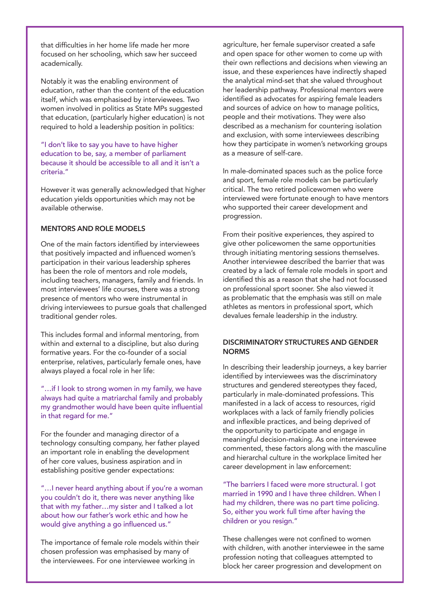that difficulties in her home life made her more focused on her schooling, which saw her succeed academically.

Notably it was the enabling environment of education, rather than the content of the education itself, which was emphasised by interviewees. Two women involved in politics as State MPs suggested that education, (particularly higher education) is not required to hold a leadership position in politics:

"I don't like to say you have to have higher education to be, say, a member of parliament because it should be accessible to all and it isn't a criteria."

However it was generally acknowledged that higher education yields opportunities which may not be available otherwise.

### **MENTORS AND ROLE MODELS**

One of the main factors identified by interviewees that positively impacted and influenced women's participation in their various leadership spheres has been the role of mentors and role models, including teachers, managers, family and friends. In most interviewees' life courses, there was a strong presence of mentors who were instrumental in driving interviewees to pursue goals that challenged traditional gender roles.

This includes formal and informal mentoring, from within and external to a discipline, but also during formative years. For the co-founder of a social enterprise, relatives, particularly female ones, have always played a focal role in her life:

"…if I look to strong women in my family, we have always had quite a matriarchal family and probably my grandmother would have been quite influential in that regard for me."

For the founder and managing director of a technology consulting company, her father played an important role in enabling the development of her core values, business aspiration and in establishing positive gender expectations:

"…I never heard anything about if you're a woman you couldn't do it, there was never anything like that with my father…my sister and I talked a lot about how our father's work ethic and how he would give anything a go influenced us."

The importance of female role models within their chosen profession was emphasised by many of the interviewees. For one interviewee working in

agriculture, her female supervisor created a safe and open space for other women to come up with their own reflections and decisions when viewing an issue, and these experiences have indirectly shaped the analytical mind-set that she valued throughout her leadership pathway. Professional mentors were identified as advocates for aspiring female leaders and sources of advice on how to manage politics, people and their motivations. They were also described as a mechanism for countering isolation and exclusion, with some interviewees describing how they participate in women's networking groups as a measure of self-care.

In male-dominated spaces such as the police force and sport, female role models can be particularly critical. The two retired policewomen who were interviewed were fortunate enough to have mentors who supported their career development and progression.

From their positive experiences, they aspired to give other policewomen the same opportunities through initiating mentoring sessions themselves. Another interviewee described the barrier that was created by a lack of female role models in sport and identified this as a reason that she had not focussed on professional sport sooner. She also viewed it as problematic that the emphasis was still on male athletes as mentors in professional sport, which devalues female leadership in the industry.

#### **DISCRIMINATORY STRUCTURES AND GENDER NORMS**

In describing their leadership journeys, a key barrier identified by interviewees was the discriminatory structures and gendered stereotypes they faced, particularly in male-dominated professions. This manifested in a lack of access to resources, rigid workplaces with a lack of family friendly policies and inflexible practices, and being deprived of the opportunity to participate and engage in meaningful decision-making. As one interviewee commented, these factors along with the masculine and hierarchal culture in the workplace limited her career development in law enforcement:

"The barriers I faced were more structural. I got married in 1990 and I have three children. When I had my children, there was no part time policing. So, either you work full time after having the children or you resign."

These challenges were not confined to women with children, with another interviewee in the same profession noting that colleagues attempted to block her career progression and development on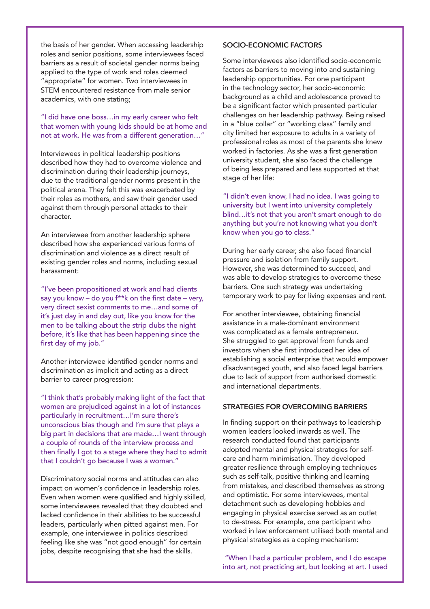the basis of her gender. When accessing leadership roles and senior positions, some interviewees faced barriers as a result of societal gender norms being applied to the type of work and roles deemed "appropriate" for women. Two interviewees in STEM encountered resistance from male senior academics, with one stating;

"I did have one boss…in my early career who felt that women with young kids should be at home and not at work. He was from a different generation…"

Interviewees in political leadership positions described how they had to overcome violence and discrimination during their leadership journeys, due to the traditional gender norms present in the political arena. They felt this was exacerbated by their roles as mothers, and saw their gender used against them through personal attacks to their character.

An interviewee from another leadership sphere described how she experienced various forms of discrimination and violence as a direct result of existing gender roles and norms, including sexual harassment:

"I've been propositioned at work and had clients say you know – do you f\*\*k on the first date – very, very direct sexist comments to me…and some of it's just day in and day out, like you know for the men to be talking about the strip clubs the night before, it's like that has been happening since the first day of my job."

Another interviewee identified gender norms and discrimination as implicit and acting as a direct barrier to career progression:

"I think that's probably making light of the fact that women are prejudiced against in a lot of instances particularly in recruitment…I'm sure there's unconscious bias though and I'm sure that plays a big part in decisions that are made…I went through a couple of rounds of the interview process and then finally I got to a stage where they had to admit that I couldn't go because I was a woman."

Discriminatory social norms and attitudes can also impact on women's confidence in leadership roles. Even when women were qualified and highly skilled, some interviewees revealed that they doubted and lacked confidence in their abilities to be successful leaders, particularly when pitted against men. For example, one interviewee in politics described feeling like she was "not good enough" for certain jobs, despite recognising that she had the skills.

#### **SOCIO-ECONOMIC FACTORS**

Some interviewees also identified socio-economic factors as barriers to moving into and sustaining leadership opportunities. For one participant in the technology sector, her socio-economic background as a child and adolescence proved to be a significant factor which presented particular challenges on her leadership pathway. Being raised in a "blue collar" or "working class" family and city limited her exposure to adults in a variety of professional roles as most of the parents she knew worked in factories. As she was a first generation university student, she also faced the challenge of being less prepared and less supported at that stage of her life:

"I didn't even know, I had no idea. I was going to university but I went into university completely blind…it's not that you aren't smart enough to do anything but you're not knowing what you don't know when you go to class."

During her early career, she also faced financial pressure and isolation from family support. However, she was determined to succeed, and was able to develop strategies to overcome these barriers. One such strategy was undertaking temporary work to pay for living expenses and rent.

For another interviewee, obtaining financial assistance in a male-dominant environment was complicated as a female entrepreneur. She struggled to get approval from funds and investors when she first introduced her idea of establishing a social enterprise that would empower disadvantaged youth, and also faced legal barriers due to lack of support from authorised domestic and international departments.

#### **STRATEGIES FOR OVERCOMING BARRIERS**

In finding support on their pathways to leadership women leaders looked inwards as well. The research conducted found that participants adopted mental and physical strategies for selfcare and harm minimisation. They developed greater resilience through employing techniques such as self-talk, positive thinking and learning from mistakes, and described themselves as strong and optimistic. For some interviewees, mental detachment such as developing hobbies and engaging in physical exercise served as an outlet to de-stress. For example, one participant who worked in law enforcement utilised both mental and physical strategies as a coping mechanism:

 "When I had a particular problem, and I do escape into art, not practicing art, but looking at art. I used